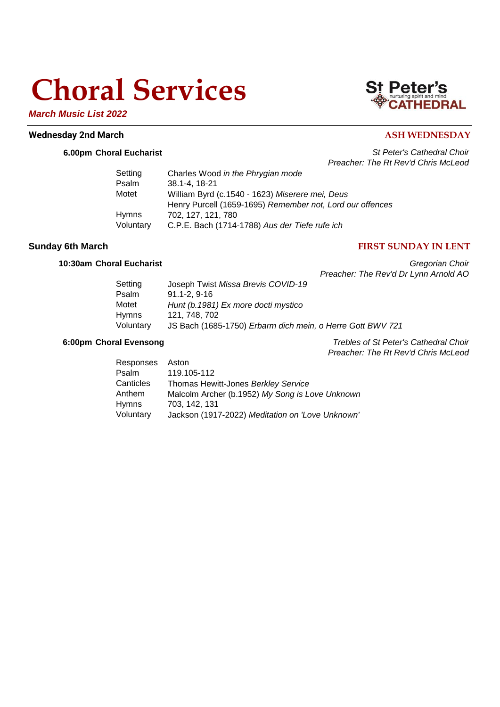# **Choral Services**

*March Music List 2022*

## **Wednesday 2nd March ASH WEDNESDAY**

## **6.00pm Choral Eucharist** *St Peter's Cathedral Choir Preacher: The Rt Rev'd Chris McLeod*

| Setting      | Charles Wood in the Phrygian mode                         |
|--------------|-----------------------------------------------------------|
| Psalm        | 38.1-4.18-21                                              |
| Motet        | William Byrd (c.1540 - 1623) Miserere mei, Deus           |
|              | Henry Purcell (1659-1695) Remember not, Lord our offences |
| <b>Hymns</b> | 702. 127. 121. 780                                        |
| Voluntary    | C.P.E. Bach (1714-1788) Aus der Tiefe rufe ich            |

## **Sunday 6th March FIRST SUNDAY IN LENT**

**10:30am Choral Eucharist** *Gregorian Choir Preacher: The Rev'd Dr Lynn Arnold AO*

| Setting   | Joseph Twist Missa Brevis COVID-19                         |
|-----------|------------------------------------------------------------|
| Psalm     | $91.1 - 2.9 - 16$                                          |
| Motet     | Hunt (b. 1981) Ex more docti mystico                       |
| Hymns     | 121, 748, 702                                              |
| Voluntary | JS Bach (1685-1750) Erbarm dich mein, o Herre Gott BWV 721 |

**6:00pm Choral Evensong** *Trebles of St Peter's Cathedral Choir Preacher: The Rt Rev'd Chris McLeod*

| Responses Aston |                                                  |
|-----------------|--------------------------------------------------|
| Psalm           | 119.105-112                                      |
| Canticles       | Thomas Hewitt-Jones Berkley Service              |
| Anthem          | Malcolm Archer (b.1952) My Song is Love Unknown  |
| Hymns           | 703.142.131                                      |
| Voluntary       | Jackson (1917-2022) Meditation on 'Love Unknown' |

## **St Peter's**<br> **CATHEDRAL**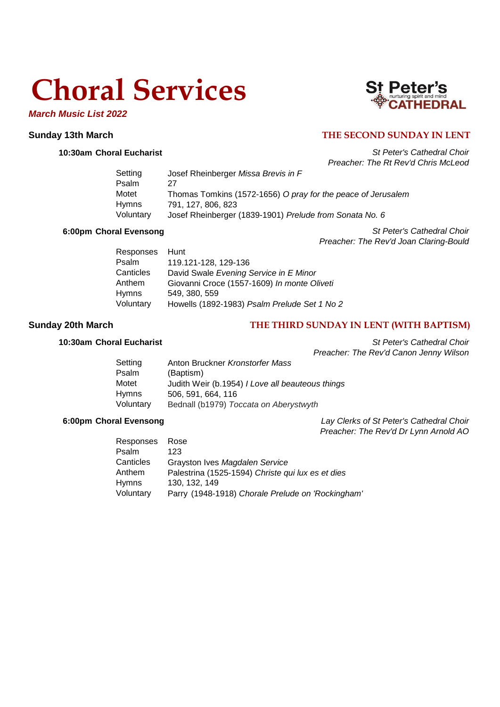# **Choral Services**

*March Music List 2022*

## **St Peter's**<br> **CATHEDRAL**

## **Sunday 13th March THE SECOND SUNDAY IN LENT**

**10:30am Choral Eucharist** *St Peter's Cathedral Choir Preacher: The Rt Rev'd Chris McLeod*

| Josef Rheinberger Missa Brevis in F                          |
|--------------------------------------------------------------|
| 27                                                           |
| Thomas Tomkins (1572-1656) O pray for the peace of Jerusalem |
| 791, 127, 806, 823                                           |
| Josef Rheinberger (1839-1901) Prelude from Sonata No. 6      |
|                                                              |

**6:00pm Choral Evensong** *St Peter's Cathedral Choir Preacher: The Rev'd Joan Claring-Bould*

| Hunt                                         |
|----------------------------------------------|
| 119.121-128, 129-136                         |
| David Swale Evening Service in E Minor       |
| Giovanni Croce (1557-1609) In monte Oliveti  |
| 549, 380, 559                                |
| Howells (1892-1983) Psalm Prelude Set 1 No 2 |
|                                              |

## **Sunday 20th March THE THIRD SUNDAY IN LENT (WITH BAPTISM)**

**10:30am Choral Eucharist** *St Peter's Cathedral Choir Preacher: The Rev'd Canon Jenny Wilson*

| Setting   | Anton Bruckner Kronstorfer Mass                  |
|-----------|--------------------------------------------------|
| Psalm     | (Baptism)                                        |
| Motet     | Judith Weir (b.1954) I Love all beauteous things |
| Hymns     | 506, 591, 664, 116                               |
| Voluntary | Bednall (b1979) Toccata on Aberystwyth           |

**6:00pm Choral Evensong** *Lay Clerks of St Peter's Cathedral Choir Preacher: The Rev'd Dr Lynn Arnold AO*

| Responses | Rose                                              |
|-----------|---------------------------------------------------|
| Psalm     | 123                                               |
| Canticles | Grayston Ives Magdalen Service                    |
| Anthem    | Palestrina (1525-1594) Christe qui lux es et dies |
| Hymns     | 130, 132, 149                                     |
| Voluntary | Parry (1948-1918) Chorale Prelude on 'Rockingham' |